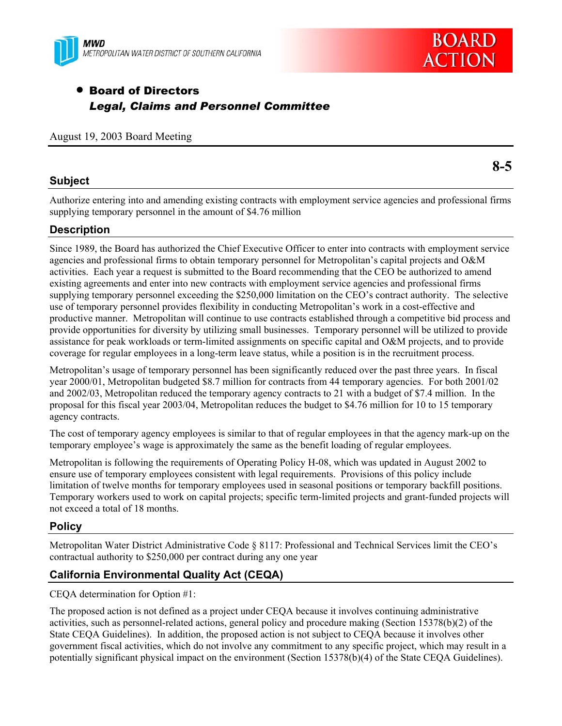



# • Board of Directors *Legal, Claims and Personnel Committee*

August 19, 2003 Board Meeting

## **Subject**

Authorize entering into and amending existing contracts with employment service agencies and professional firms supplying temporary personnel in the amount of \$4.76 million

## **Description**

Since 1989, the Board has authorized the Chief Executive Officer to enter into contracts with employment service agencies and professional firms to obtain temporary personnel for Metropolitan's capital projects and O&M activities. Each year a request is submitted to the Board recommending that the CEO be authorized to amend existing agreements and enter into new contracts with employment service agencies and professional firms supplying temporary personnel exceeding the \$250,000 limitation on the CEO's contract authority. The selective use of temporary personnel provides flexibility in conducting Metropolitan's work in a cost-effective and productive manner. Metropolitan will continue to use contracts established through a competitive bid process and provide opportunities for diversity by utilizing small businesses. Temporary personnel will be utilized to provide assistance for peak workloads or term-limited assignments on specific capital and O&M projects, and to provide coverage for regular employees in a long-term leave status, while a position is in the recruitment process.

Metropolitan's usage of temporary personnel has been significantly reduced over the past three years. In fiscal year 2000/01, Metropolitan budgeted \$8.7 million for contracts from 44 temporary agencies. For both 2001/02 and 2002/03, Metropolitan reduced the temporary agency contracts to 21 with a budget of \$7.4 million. In the proposal for this fiscal year 2003/04, Metropolitan reduces the budget to \$4.76 million for 10 to 15 temporary agency contracts.

The cost of temporary agency employees is similar to that of regular employees in that the agency mark-up on the temporary employee's wage is approximately the same as the benefit loading of regular employees.

Metropolitan is following the requirements of Operating Policy H-08, which was updated in August 2002 to ensure use of temporary employees consistent with legal requirements. Provisions of this policy include limitation of twelve months for temporary employees used in seasonal positions or temporary backfill positions. Temporary workers used to work on capital projects; specific term-limited projects and grant-funded projects will not exceed a total of 18 months.

## **Policy**

Metropolitan Water District Administrative Code § 8117: Professional and Technical Services limit the CEO's contractual authority to \$250,000 per contract during any one year

## **California Environmental Quality Act (CEQA)**

CEQA determination for Option #1:

The proposed action is not defined as a project under CEQA because it involves continuing administrative activities, such as personnel-related actions, general policy and procedure making (Section 15378(b)(2) of the State CEQA Guidelines). In addition, the proposed action is not subject to CEQA because it involves other government fiscal activities, which do not involve any commitment to any specific project, which may result in a potentially significant physical impact on the environment (Section 15378(b)(4) of the State CEQA Guidelines).

**8-5**